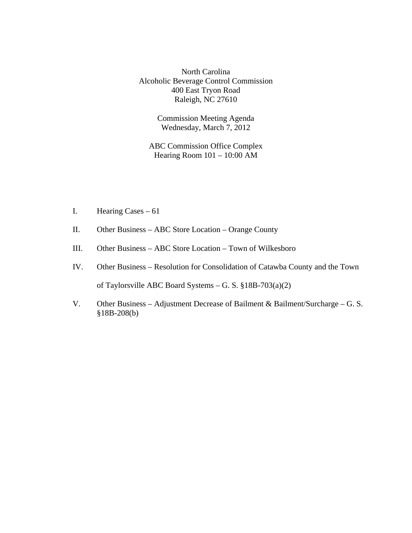North Carolina Alcoholic Beverage Control Commission 400 East Tryon Road Raleigh, NC 27610

> Commission Meeting Agenda Wednesday, March 7, 2012

ABC Commission Office Complex Hearing Room 101 – 10:00 AM

- I. Hearing Cases 61
- II. Other Business ABC Store Location Orange County
- III. Other Business ABC Store Location Town of Wilkesboro
- IV. Other Business Resolution for Consolidation of Catawba County and the Town of Taylorsville ABC Board Systems – G. S. §18B-703(a)(2)
- V. Other Business Adjustment Decrease of Bailment & Bailment/Surcharge G. S. §18B-208(b)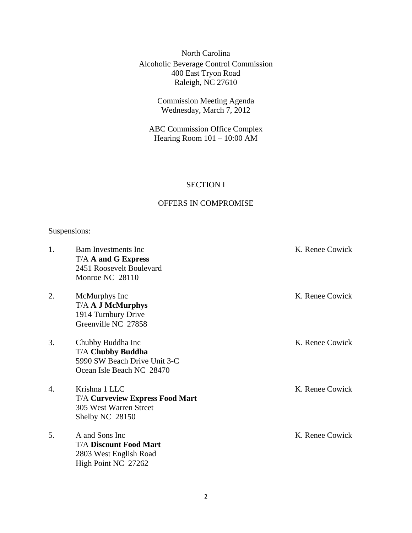North Carolina Alcoholic Beverage Control Commission 400 East Tryon Road Raleigh, NC 27610

> Commission Meeting Agenda Wednesday, March 7, 2012

ABC Commission Office Complex Hearing Room 101 – 10:00 AM

## SECTION I

## OFFERS IN COMPROMISE

## Suspensions:

| 1.             | <b>Bam Investments Inc</b><br>T/A A and G Express<br>2451 Roosevelt Boulevard<br>Monroe NC 28110           | K. Renee Cowick |
|----------------|------------------------------------------------------------------------------------------------------------|-----------------|
| 2.             | McMurphys Inc<br><b>T/A A J McMurphys</b><br>1914 Turnbury Drive<br>Greenville NC 27858                    | K. Renee Cowick |
| 3.             | Chubby Buddha Inc<br><b>T/A Chubby Buddha</b><br>5990 SW Beach Drive Unit 3-C<br>Ocean Isle Beach NC 28470 | K. Renee Cowick |
| $\mathbf{4}$ . | Krishna 1 LLC<br><b>T/A Curveview Express Food Mart</b><br>305 West Warren Street<br>Shelby NC 28150       | K. Renee Cowick |
| 5.             | A and Sons Inc<br><b>T/A Discount Food Mart</b><br>2803 West English Road<br>High Point NC 27262           | K. Renee Cowick |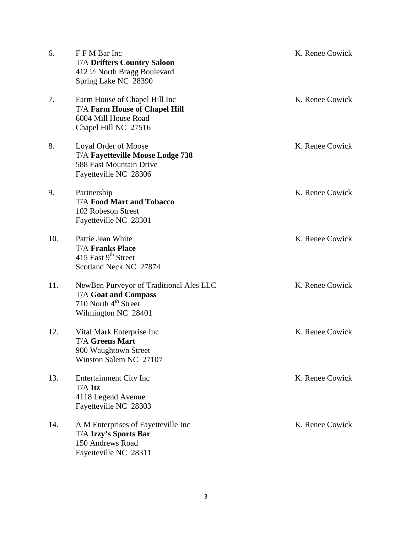| 6.  | F F M Bar Inc<br><b>T/A Drifters Country Saloon</b><br>412 1/2 North Bragg Boulevard<br>Spring Lake NC 28390                      | K. Renee Cowick |
|-----|-----------------------------------------------------------------------------------------------------------------------------------|-----------------|
| 7.  | Farm House of Chapel Hill Inc<br><b>T/A Farm House of Chapel Hill</b><br>6004 Mill House Road<br>Chapel Hill NC 27516             | K. Renee Cowick |
| 8.  | Loyal Order of Moose<br>T/A Fayetteville Moose Lodge 738<br>588 East Mountain Drive<br>Fayetteville NC 28306                      | K. Renee Cowick |
| 9.  | Partnership<br><b>T/A Food Mart and Tobacco</b><br>102 Robeson Street<br>Fayetteville NC 28301                                    | K. Renee Cowick |
| 10. | Pattie Jean White<br><b>T/A Franks Place</b><br>415 East 9 <sup>th</sup> Street<br>Scotland Neck NC 27874                         | K. Renee Cowick |
| 11. | NewBen Purveyor of Traditional Ales LLC<br><b>T/A Goat and Compass</b><br>710 North 4 <sup>th</sup> Street<br>Wilmington NC 28401 | K. Renee Cowick |
| 12. | Vital Mark Enterprise Inc<br><b>T/A Greens Mart</b><br>900 Waughtown Street<br>Winston Salem NC 27107                             | K. Renee Cowick |
| 13. | <b>Entertainment City Inc</b><br>T/A Itz<br>4118 Legend Avenue<br>Fayetteville NC 28303                                           | K. Renee Cowick |
| 14. | A M Enterprises of Fayetteville Inc<br><b>T/A Izzy's Sports Bar</b><br>150 Andrews Road<br>Fayetteville NC 28311                  | K. Renee Cowick |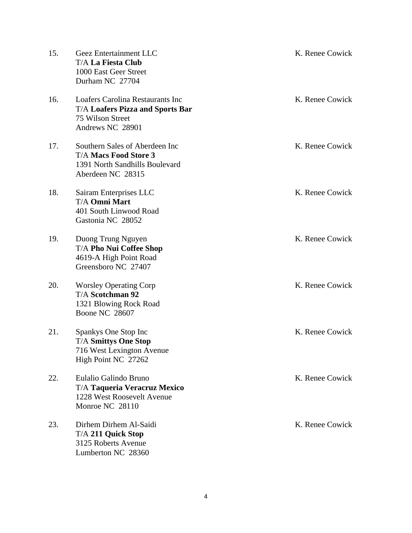| 15. | Geez Entertainment LLC<br><b>T/A La Fiesta Club</b><br>1000 East Geer Street<br>Durham NC 27704                            | K. Renee Cowick |
|-----|----------------------------------------------------------------------------------------------------------------------------|-----------------|
| 16. | <b>Loafers Carolina Restaurants Inc</b><br><b>T/A Loafers Pizza and Sports Bar</b><br>75 Wilson Street<br>Andrews NC 28901 | K. Renee Cowick |
| 17. | Southern Sales of Aberdeen Inc<br><b>T/A Macs Food Store 3</b><br>1391 North Sandhills Boulevard<br>Aberdeen NC 28315      | K. Renee Cowick |
| 18. | Sairam Enterprises LLC<br><b>T/A Omni Mart</b><br>401 South Linwood Road<br>Gastonia NC 28052                              | K. Renee Cowick |
| 19. | Duong Trung Nguyen<br><b>T/A Pho Nui Coffee Shop</b><br>4619-A High Point Road<br>Greensboro NC 27407                      | K. Renee Cowick |
| 20. | <b>Worsley Operating Corp</b><br><b>T/A Scotchman 92</b><br>1321 Blowing Rock Road<br><b>Boone NC 28607</b>                | K. Renee Cowick |
| 21. | Spankys One Stop Inc<br><b>T/A Smittys One Stop</b><br>716 West Lexington Avenue<br>High Point NC 27262                    | K. Renee Cowick |
| 22. | Eulalio Galindo Bruno<br><b>T/A Taqueria Veracruz Mexico</b><br>1228 West Roosevelt Avenue<br>Monroe NC 28110              | K. Renee Cowick |
| 23. | Dirhem Dirhem Al-Saidi<br>T/A 211 Quick Stop<br>3125 Roberts Avenue<br>Lumberton NC 28360                                  | K. Renee Cowick |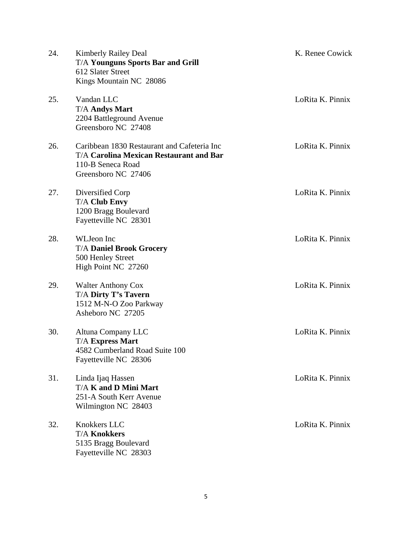| 24. | <b>Kimberly Railey Deal</b><br><b>T/A Younguns Sports Bar and Grill</b><br>612 Slater Street<br>Kings Mountain NC 28086                   | K. Renee Cowick  |
|-----|-------------------------------------------------------------------------------------------------------------------------------------------|------------------|
| 25. | Vandan LLC<br><b>T/A Andys Mart</b><br>2204 Battleground Avenue<br>Greensboro NC 27408                                                    | LoRita K. Pinnix |
| 26. | Caribbean 1830 Restaurant and Cafeteria Inc<br><b>T/A Carolina Mexican Restaurant and Bar</b><br>110-B Seneca Road<br>Greensboro NC 27406 | LoRita K. Pinnix |
| 27. | Diversified Corp<br><b>T/A Club Envy</b><br>1200 Bragg Boulevard<br>Fayetteville NC 28301                                                 | LoRita K. Pinnix |
| 28. | WLJeon Inc<br><b>T/A Daniel Brook Grocery</b><br>500 Henley Street<br>High Point NC 27260                                                 | LoRita K. Pinnix |
| 29. | <b>Walter Anthony Cox</b><br>T/A Dirty T's Tavern<br>1512 M-N-O Zoo Parkway<br>Asheboro NC 27205                                          | LoRita K. Pinnix |
| 30. | Altuna Company LLC<br><b>T/A Express Mart</b><br>4582 Cumberland Road Suite 100<br>Fayetteville NC 28306                                  | LoRita K. Pinnix |
| 31. | Linda Ijaq Hassen<br>T/A K and D Mini Mart<br>251-A South Kerr Avenue<br>Wilmington NC 28403                                              | LoRita K. Pinnix |
| 32. | Knokkers LLC<br><b>T/A Knokkers</b><br>5135 Bragg Boulevard<br>Fayetteville NC 28303                                                      | LoRita K. Pinnix |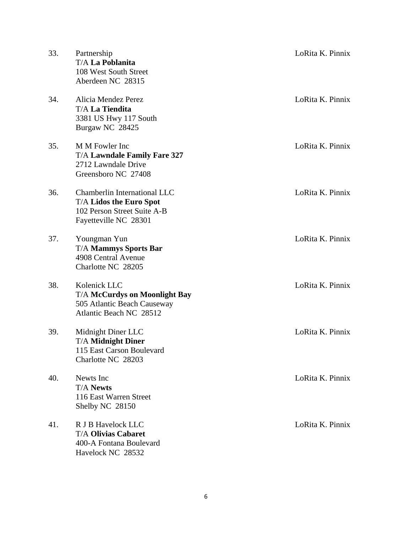| 33. | Partnership<br><b>T/A La Poblanita</b><br>108 West South Street<br>Aberdeen NC 28315                                   | LoRita K. Pinnix |
|-----|------------------------------------------------------------------------------------------------------------------------|------------------|
| 34. | Alicia Mendez Perez<br><b>T/A La Tiendita</b><br>3381 US Hwy 117 South<br>Burgaw NC 28425                              | LoRita K. Pinnix |
| 35. | M M Fowler Inc<br><b>T/A Lawndale Family Fare 327</b><br>2712 Lawndale Drive<br>Greensboro NC 27408                    | LoRita K. Pinnix |
| 36. | Chamberlin International LLC<br><b>T/A Lidos the Euro Spot</b><br>102 Person Street Suite A-B<br>Fayetteville NC 28301 | LoRita K. Pinnix |
| 37. | Youngman Yun<br><b>T/A Mammys Sports Bar</b><br>4908 Central Avenue<br>Charlotte NC 28205                              | LoRita K. Pinnix |
| 38. | Kolenick LLC<br><b>T/A McCurdys on Moonlight Bay</b><br>505 Atlantic Beach Causeway<br>Atlantic Beach NC 28512         | LoRita K. Pinnix |
| 39. | Midnight Diner LLC<br><b>T/A Midnight Diner</b><br>115 East Carson Boulevard<br>Charlotte NC 28203                     | LoRita K. Pinnix |
| 40. | Newts Inc<br><b>T/A Newts</b><br>116 East Warren Street<br>Shelby NC 28150                                             | LoRita K. Pinnix |
| 41. | R J B Havelock LLC<br><b>T/A Olivias Cabaret</b><br>400-A Fontana Boulevard<br>Havelock NC 28532                       | LoRita K. Pinnix |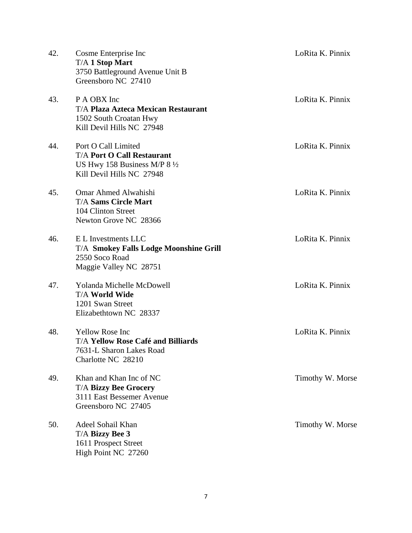| 42. | Cosme Enterprise Inc<br><b>T/A 1 Stop Mart</b><br>3750 Battleground Avenue Unit B<br>Greensboro NC 27410                        | LoRita K. Pinnix |
|-----|---------------------------------------------------------------------------------------------------------------------------------|------------------|
| 43. | P A OBX Inc<br><b>T/A Plaza Azteca Mexican Restaurant</b><br>1502 South Croatan Hwy<br>Kill Devil Hills NC 27948                | LoRita K. Pinnix |
| 44. | Port O Call Limited<br><b>T/A Port O Call Restaurant</b><br>US Hwy 158 Business M/P $8\frac{1}{2}$<br>Kill Devil Hills NC 27948 | LoRita K. Pinnix |
| 45. | Omar Ahmed Alwahishi<br><b>T/A Sams Circle Mart</b><br>104 Clinton Street<br>Newton Grove NC 28366                              | LoRita K. Pinnix |
| 46. | E L Investments LLC<br><b>T/A Smokey Falls Lodge Moonshine Grill</b><br>2550 Soco Road<br>Maggie Valley NC 28751                | LoRita K. Pinnix |
| 47. | <b>Yolanda Michelle McDowell</b><br><b>T/A World Wide</b><br>1201 Swan Street<br>Elizabethtown NC 28337                         | LoRita K. Pinnix |
| 48. | <b>Yellow Rose Inc.</b><br><b>T/A Yellow Rose Café and Billiards</b><br>7631-L Sharon Lakes Road<br>Charlotte NC 28210          | LoRita K. Pinnix |
| 49. | Khan and Khan Inc of NC<br><b>T/A Bizzy Bee Grocery</b><br>3111 East Bessemer Avenue<br>Greensboro NC 27405                     | Timothy W. Morse |
| 50. | Adeel Sohail Khan<br>T/A Bizzy Bee 3<br>1611 Prospect Street<br>High Point NC 27260                                             | Timothy W. Morse |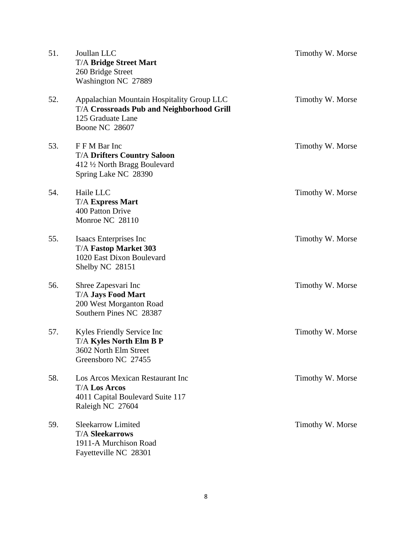| 51. | Joullan LLC<br><b>T/A Bridge Street Mart</b><br>260 Bridge Street<br>Washington NC 27889                                                     | Timothy W. Morse |
|-----|----------------------------------------------------------------------------------------------------------------------------------------------|------------------|
| 52. | Appalachian Mountain Hospitality Group LLC<br><b>T/A Crossroads Pub and Neighborhood Grill</b><br>125 Graduate Lane<br><b>Boone NC 28607</b> | Timothy W. Morse |
| 53. | F F M Bar Inc<br><b>T/A Drifters Country Saloon</b><br>412 1/2 North Bragg Boulevard<br>Spring Lake NC 28390                                 | Timothy W. Morse |
| 54. | Haile LLC<br><b>T/A Express Mart</b><br>400 Patton Drive<br>Monroe NC 28110                                                                  | Timothy W. Morse |
| 55. | Isaacs Enterprises Inc<br><b>T/A Fastop Market 303</b><br>1020 East Dixon Boulevard<br>Shelby NC 28151                                       | Timothy W. Morse |
| 56. | Shree Zapesvari Inc<br><b>T/A Jays Food Mart</b><br>200 West Morganton Road<br>Southern Pines NC 28387                                       | Timothy W. Morse |
| 57. | Kyles Friendly Service Inc<br>T/A Kyles North Elm B P<br>3602 North Elm Street<br>Greensboro NC 27455                                        | Timothy W. Morse |
| 58. | Los Arcos Mexican Restaurant Inc<br><b>T/A Los Arcos</b><br>4011 Capital Boulevard Suite 117<br>Raleigh NC 27604                             | Timothy W. Morse |
| 59. | <b>Sleekarrow Limited</b><br><b>T/A Sleekarrows</b><br>1911-A Murchison Road<br>Fayetteville NC 28301                                        | Timothy W. Morse |